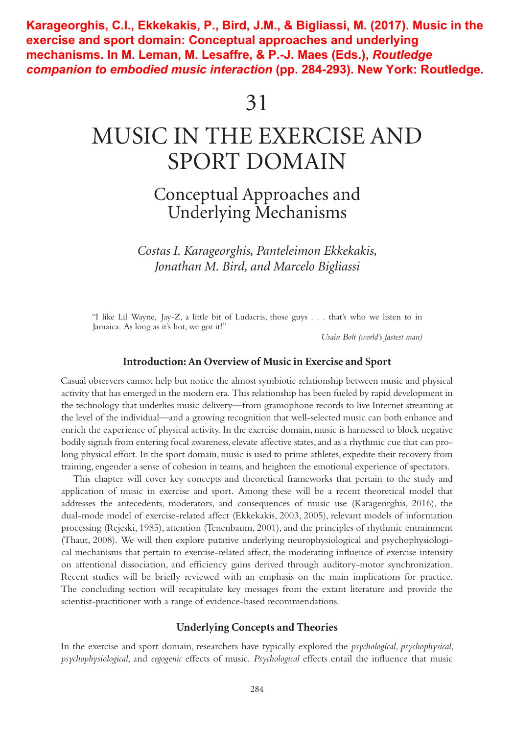**Karageorghis, C.I., Ekkekakis, P., Bird, J.M., & Bigliassi, M. (2017). Music in the exercise and sport domain: Conceptual approaches and underlying mechanisms. In M. Leman, M. Lesaffre, & P.-J. Maes (Eds.),** *Routledge companion to embodied music interaction* **(pp. 284-293). New York: Routledge.** 

# MUSIC IN THE EXERCISE AND SPORT DOMAIN

# Conceptual Approaches and Underlying Mechanisms

*Costas I. Karageorghis, Panteleimon Ekkekakis, Jonathan M. Bird, and Marcelo Bigliassi*

"I like Lil Wayne, Jay-Z, a little bit of Ludacris, those guys . . . that's who we listen to in Jamaica. As long as it's hot, we got it!"

*Usain Bolt (world's fastest man)*

#### **Introduction: An Overview of Music in Exercise and Sport**

Casual observers cannot help but notice the almost symbiotic relationship between music and physical activity that has emerged in the modern era. This relationship has been fueled by rapid development in the technology that underlies music delivery—from gramophone records to live Internet streaming at the level of the individual—and a growing recognition that well-selected music can both enhance and enrich the experience of physical activity. In the exercise domain, music is harnessed to block negative bodily signals from entering focal awareness, elevate affective states, and as a rhythmic cue that can prolong physical effort. In the sport domain, music is used to prime athletes, expedite their recovery from training, engender a sense of cohesion in teams, and heighten the emotional experience of spectators.

This chapter will cover key concepts and theoretical frameworks that pertain to the study and application of music in exercise and sport. Among these will be a recent theoretical model that addresses the antecedents, moderators, and consequences of music use (Karageorghis, 2016), the dual-mode model of exercise-related affect (Ekkekakis, 2003, 2005), relevant models of information processing (Rejeski, 1985), attention (Tenenbaum, 2001), and the principles of rhythmic entrainment (Thaut, 2008). We will then explore putative underlying neurophysiological and psychophysiological mechanisms that pertain to exercise-related affect, the moderating influence of exercise intensity on attentional dissociation, and efficiency gains derived through auditory-motor synchronization. Recent studies will be briefly reviewed with an emphasis on the main implications for practice. The concluding section will recapitulate key messages from the extant literature and provide the scientist-practitioner with a range of evidence-based recommendations.

#### **Underlying Concepts and Theories**

In the exercise and sport domain, researchers have typically explored the *psychological*, *psychophysical*, *psychophysiological*, and *ergogenic* effects of music. *Psychological* effects entail the influence that music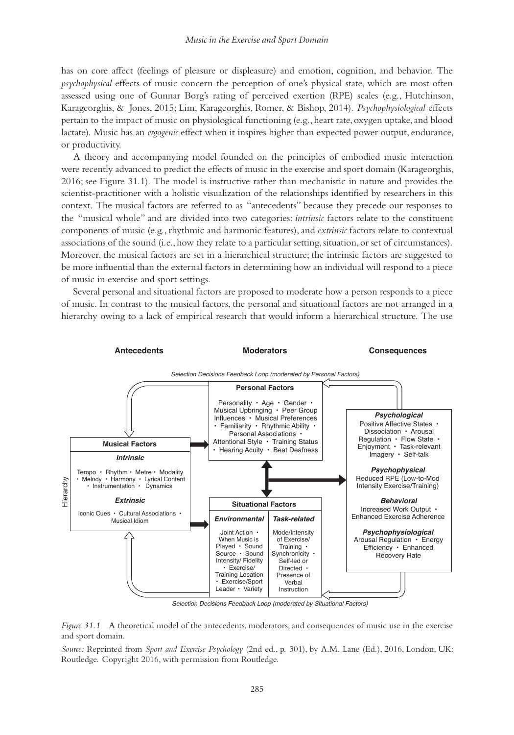has on core affect (feelings of pleasure or displeasure) and emotion, cognition, and behavior. The *psychophysical* effects of music concern the perception of one's physical state, which are most often assessed using one of Gunnar Borg's rating of perceived exertion (RPE) scales (e.g., Hutchinson, Karageorghis, & Jones, 2015; Lim, Karageorghis, Romer, & Bishop, 2014). *Psychophysiological* effects pertain to the impact of music on physiological functioning (e.g., heart rate, oxygen uptake, and blood lactate). Music has an *ergogenic* effect when it inspires higher than expected power output, endurance, or productivity.

A theory and accompanying model founded on the principles of embodied music interaction were recently advanced to predict the effects of music in the exercise and sport domain (Karageorghis, 2016; see Figure 31.1). The model is instructive rather than mechanistic in nature and provides the scientist-practitioner with a holistic visualization of the relationships identified by researchers in this context. The musical factors are referred to as "antecedents" because they precede our responses to the "musical whole" and are divided into two categories: *intrinsic* factors relate to the constituent components of music (e.g., rhythmic and harmonic features), and *extrinsic* factors relate to contextual associations of the sound (i.e., how they relate to a particular setting, situation, or set of circumstances). Moreover, the musical factors are set in a hierarchical structure; the intrinsic factors are suggested to be more influential than the external factors in determining how an individual will respond to a piece of music in exercise and sport settings.

Several personal and situational factors are proposed to moderate how a person responds to a piece of music. In contrast to the musical factors, the personal and situational factors are not arranged in a hierarchy owing to a lack of empirical research that would inform a hierarchical structure. The use



Selection Decisions Feedback Loop (moderated by Situational Factors)

*Figure 31.1* A theoretical model of the antecedents, moderators, and consequences of music use in the exercise and sport domain.

*Source:* Reprinted from *Sport and Exercise Psychology* (2nd ed., p. 301), by A.M. Lane (Ed.), 2016, London, UK: Routledge. Copyright 2016, with permission from Routledge.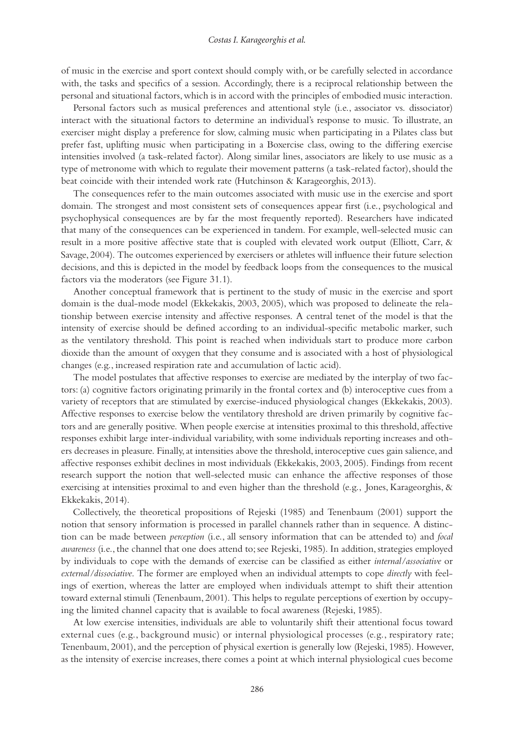of music in the exercise and sport context should comply with, or be carefully selected in accordance with, the tasks and specifics of a session. Accordingly, there is a reciprocal relationship between the personal and situational factors, which is in accord with the principles of embodied music interaction.

Personal factors such as musical preferences and attentional style (i.e., associator vs. dissociator) interact with the situational factors to determine an individual's response to music. To illustrate, an exerciser might display a preference for slow, calming music when participating in a Pilates class but prefer fast, uplifting music when participating in a Boxercise class, owing to the differing exercise intensities involved (a task-related factor). Along similar lines, associators are likely to use music as a type of metronome with which to regulate their movement patterns (a task-related factor), should the beat coincide with their intended work rate (Hutchinson & Karageorghis, 2013).

The consequences refer to the main outcomes associated with music use in the exercise and sport domain. The strongest and most consistent sets of consequences appear first (i.e., psychological and psychophysical consequences are by far the most frequently reported). Researchers have indicated that many of the consequences can be experienced in tandem. For example, well-selected music can result in a more positive affective state that is coupled with elevated work output (Elliott, Carr, & Savage, 2004). The outcomes experienced by exercisers or athletes will influence their future selection decisions, and this is depicted in the model by feedback loops from the consequences to the musical factors via the moderators (see Figure 31.1).

Another conceptual framework that is pertinent to the study of music in the exercise and sport domain is the dual-mode model (Ekkekakis, 2003, 2005), which was proposed to delineate the relationship between exercise intensity and affective responses. A central tenet of the model is that the intensity of exercise should be defined according to an individual-specific metabolic marker, such as the ventilatory threshold. This point is reached when individuals start to produce more carbon dioxide than the amount of oxygen that they consume and is associated with a host of physiological changes (e.g., increased respiration rate and accumulation of lactic acid).

The model postulates that affective responses to exercise are mediated by the interplay of two factors: (a) cognitive factors originating primarily in the frontal cortex and (b) interoceptive cues from a variety of receptors that are stimulated by exercise-induced physiological changes (Ekkekakis, 2003). Affective responses to exercise below the ventilatory threshold are driven primarily by cognitive factors and are generally positive. When people exercise at intensities proximal to this threshold, affective responses exhibit large inter-individual variability, with some individuals reporting increases and others decreases in pleasure. Finally, at intensities above the threshold, interoceptive cues gain salience, and affective responses exhibit declines in most individuals (Ekkekakis, 2003, 2005). Findings from recent research support the notion that well-selected music can enhance the affective responses of those exercising at intensities proximal to and even higher than the threshold (e.g., Jones, Karageorghis, & Ekkekakis, 2014).

Collectively, the theoretical propositions of Rejeski (1985) and Tenenbaum (2001) support the notion that sensory information is processed in parallel channels rather than in sequence. A distinction can be made between *perception* (i.e., all sensory information that can be attended to) and *focal awareness* (i.e., the channel that one does attend to; see Rejeski, 1985). In addition, strategies employed by individuals to cope with the demands of exercise can be classified as either *internal/associative* or *external/dissociative*. The former are employed when an individual attempts to cope *directly* with feelings of exertion, whereas the latter are employed when individuals attempt to shift their attention toward external stimuli (Tenenbaum, 2001). This helps to regulate perceptions of exertion by occupying the limited channel capacity that is available to focal awareness (Rejeski, 1985).

At low exercise intensities, individuals are able to voluntarily shift their attentional focus toward external cues (e.g., background music) or internal physiological processes (e.g., respiratory rate; Tenenbaum, 2001), and the perception of physical exertion is generally low (Rejeski, 1985). However, as the intensity of exercise increases, there comes a point at which internal physiological cues become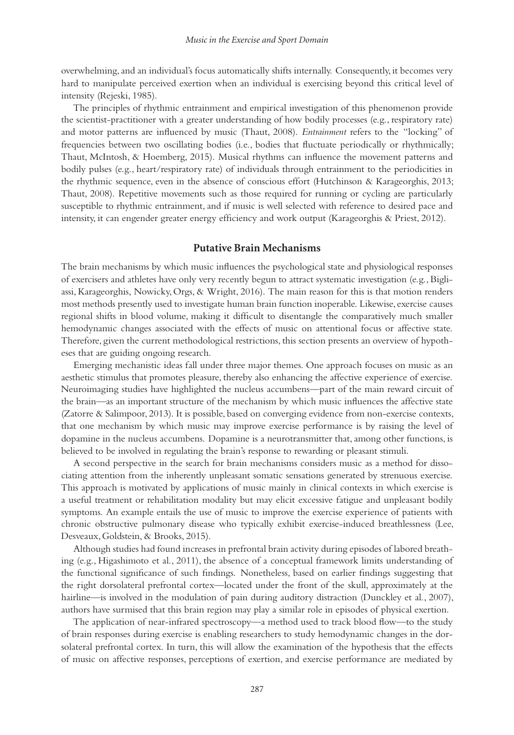overwhelming, and an individual's focus automatically shifts internally. Consequently, it becomes very hard to manipulate perceived exertion when an individual is exercising beyond this critical level of intensity (Rejeski, 1985).

The principles of rhythmic entrainment and empirical investigation of this phenomenon provide the scientist-practitioner with a greater understanding of how bodily processes (e.g., respiratory rate) and motor patterns are influenced by music (Thaut, 2008). *Entrainment* refers to the "locking" of frequencies between two oscillating bodies (i.e., bodies that fluctuate periodically or rhythmically; Thaut, McIntosh, & Hoemberg, 2015). Musical rhythms can influence the movement patterns and bodily pulses (e.g., heart/respiratory rate) of individuals through entrainment to the periodicities in the rhythmic sequence, even in the absence of conscious effort (Hutchinson & Karageorghis, 2013; Thaut, 2008). Repetitive movements such as those required for running or cycling are particularly susceptible to rhythmic entrainment, and if music is well selected with reference to desired pace and intensity, it can engender greater energy efficiency and work output (Karageorghis & Priest, 2012).

# **Putative Brain Mechanisms**

The brain mechanisms by which music influences the psychological state and physiological responses of exercisers and athletes have only very recently begun to attract systematic investigation (e.g., Bigliassi, Karageorghis, Nowicky, Orgs, & Wright, 2016). The main reason for this is that motion renders most methods presently used to investigate human brain function inoperable. Likewise, exercise causes regional shifts in blood volume, making it difficult to disentangle the comparatively much smaller hemodynamic changes associated with the effects of music on attentional focus or affective state. Therefore, given the current methodological restrictions, this section presents an overview of hypotheses that are guiding ongoing research.

Emerging mechanistic ideas fall under three major themes. One approach focuses on music as an aesthetic stimulus that promotes pleasure, thereby also enhancing the affective experience of exercise. Neuroimaging studies have highlighted the nucleus accumbens—part of the main reward circuit of the brain—as an important structure of the mechanism by which music influences the affective state (Zatorre & Salimpoor, 2013). It is possible, based on converging evidence from non-exercise contexts, that one mechanism by which music may improve exercise performance is by raising the level of dopamine in the nucleus accumbens. Dopamine is a neurotransmitter that, among other functions, is believed to be involved in regulating the brain's response to rewarding or pleasant stimuli.

A second perspective in the search for brain mechanisms considers music as a method for dissociating attention from the inherently unpleasant somatic sensations generated by strenuous exercise. This approach is motivated by applications of music mainly in clinical contexts in which exercise is a useful treatment or rehabilitation modality but may elicit excessive fatigue and unpleasant bodily symptoms. An example entails the use of music to improve the exercise experience of patients with chronic obstructive pulmonary disease who typically exhibit exercise-induced breathlessness (Lee, Desveaux, Goldstein, & Brooks, 2015).

Although studies had found increases in prefrontal brain activity during episodes of labored breathing (e.g., Higashimoto et al., 2011), the absence of a conceptual framework limits understanding of the functional significance of such findings. Nonetheless, based on earlier findings suggesting that the right dorsolateral prefrontal cortex—located under the front of the skull, approximately at the hairline—is involved in the modulation of pain during auditory distraction (Dunckley et al., 2007), authors have surmised that this brain region may play a similar role in episodes of physical exertion.

The application of near-infrared spectroscopy—a method used to track blood flow—to the study of brain responses during exercise is enabling researchers to study hemodynamic changes in the dorsolateral prefrontal cortex. In turn, this will allow the examination of the hypothesis that the effects of music on affective responses, perceptions of exertion, and exercise performance are mediated by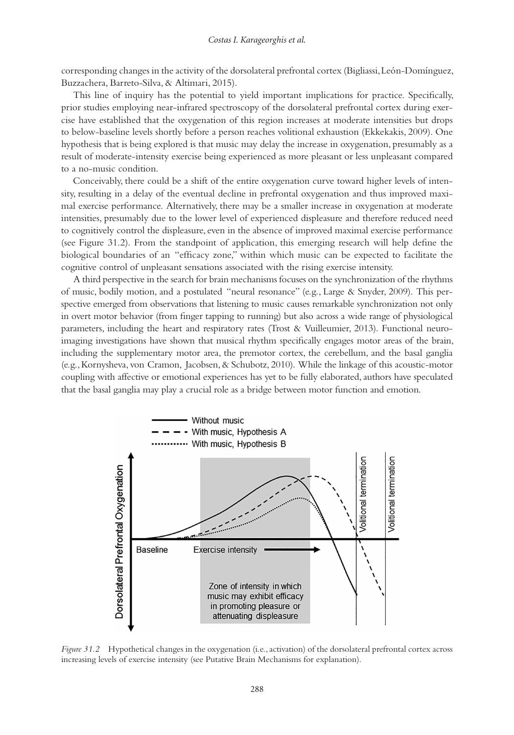corresponding changes in the activity of the dorsolateral prefrontal cortex (Bigliassi, León-Domínguez, Buzzachera, Barreto-Silva, & Altimari, 2015).

This line of inquiry has the potential to yield important implications for practice. Specifically, prior studies employing near-infrared spectroscopy of the dorsolateral prefrontal cortex during exercise have established that the oxygenation of this region increases at moderate intensities but drops to below-baseline levels shortly before a person reaches volitional exhaustion (Ekkekakis, 2009). One hypothesis that is being explored is that music may delay the increase in oxygenation, presumably as a result of moderate-intensity exercise being experienced as more pleasant or less unpleasant compared to a no-music condition.

Conceivably, there could be a shift of the entire oxygenation curve toward higher levels of intensity, resulting in a delay of the eventual decline in prefrontal oxygenation and thus improved maximal exercise performance. Alternatively, there may be a smaller increase in oxygenation at moderate intensities, presumably due to the lower level of experienced displeasure and therefore reduced need to cognitively control the displeasure, even in the absence of improved maximal exercise performance (see Figure 31.2). From the standpoint of application, this emerging research will help define the biological boundaries of an "efficacy zone," within which music can be expected to facilitate the cognitive control of unpleasant sensations associated with the rising exercise intensity.

A third perspective in the search for brain mechanisms focuses on the synchronization of the rhythms of music, bodily motion, and a postulated "neural resonance" (e.g., Large & Snyder, 2009). This perspective emerged from observations that listening to music causes remarkable synchronization not only in overt motor behavior (from finger tapping to running) but also across a wide range of physiological parameters, including the heart and respiratory rates (Trost & Vuilleumier, 2013). Functional neuroimaging investigations have shown that musical rhythm specifically engages motor areas of the brain, including the supplementary motor area, the premotor cortex, the cerebellum, and the basal ganglia (e.g., Kornysheva, von Cramon, Jacobsen, & Schubotz, 2010). While the linkage of this acoustic-motor coupling with affective or emotional experiences has yet to be fully elaborated, authors have speculated that the basal ganglia may play a crucial role as a bridge between motor function and emotion.



*Figure 31.2* Hypothetical changes in the oxygenation (i.e., activation) of the dorsolateral prefrontal cortex across increasing levels of exercise intensity (see Putative Brain Mechanisms for explanation).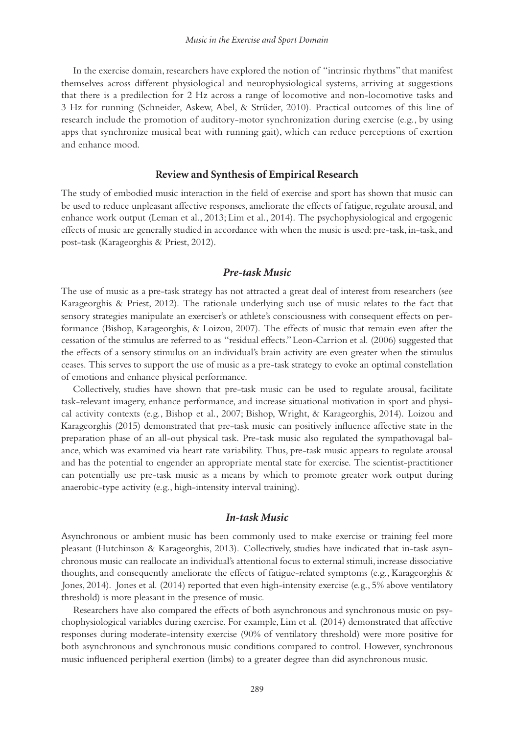In the exercise domain, researchers have explored the notion of "intrinsic rhythms" that manifest themselves across different physiological and neurophysiological systems, arriving at suggestions that there is a predilection for 2 Hz across a range of locomotive and non-locomotive tasks and 3 Hz for running (Schneider, Askew, Abel, & Strüder, 2010). Practical outcomes of this line of research include the promotion of auditory-motor synchronization during exercise (e.g., by using apps that synchronize musical beat with running gait), which can reduce perceptions of exertion and enhance mood.

#### **Review and Synthesis of Empirical Research**

The study of embodied music interaction in the field of exercise and sport has shown that music can be used to reduce unpleasant affective responses, ameliorate the effects of fatigue, regulate arousal, and enhance work output (Leman et al., 2013; Lim et al., 2014). The psychophysiological and ergogenic effects of music are generally studied in accordance with when the music is used: pre-task, in-task, and post-task (Karageorghis & Priest, 2012).

## *Pre-task Music*

The use of music as a pre-task strategy has not attracted a great deal of interest from researchers (see Karageorghis & Priest, 2012). The rationale underlying such use of music relates to the fact that sensory strategies manipulate an exerciser's or athlete's consciousness with consequent effects on performance (Bishop, Karageorghis, & Loizou, 2007). The effects of music that remain even after the cessation of the stimulus are referred to as "residual effects." Leon-Carrion et al. (2006) suggested that the effects of a sensory stimulus on an individual's brain activity are even greater when the stimulus ceases. This serves to support the use of music as a pre-task strategy to evoke an optimal constellation of emotions and enhance physical performance.

Collectively, studies have shown that pre-task music can be used to regulate arousal, facilitate task-relevant imagery, enhance performance, and increase situational motivation in sport and physical activity contexts (e.g., Bishop et al., 2007; Bishop, Wright, & Karageorghis, 2014). Loizou and Karageorghis (2015) demonstrated that pre-task music can positively influence affective state in the preparation phase of an all-out physical task. Pre-task music also regulated the sympathovagal balance, which was examined via heart rate variability. Thus, pre-task music appears to regulate arousal and has the potential to engender an appropriate mental state for exercise. The scientist-practitioner can potentially use pre-task music as a means by which to promote greater work output during anaerobic-type activity (e.g., high-intensity interval training).

# *In-task Music*

Asynchronous or ambient music has been commonly used to make exercise or training feel more pleasant (Hutchinson & Karageorghis, 2013). Collectively, studies have indicated that in-task asynchronous music can reallocate an individual's attentional focus to external stimuli, increase dissociative thoughts, and consequently ameliorate the effects of fatigue-related symptoms (e.g., Karageorghis & Jones, 2014). Jones et al. (2014) reported that even high-intensity exercise (e.g., 5% above ventilatory threshold) is more pleasant in the presence of music.

Researchers have also compared the effects of both asynchronous and synchronous music on psychophysiological variables during exercise. For example, Lim et al. (2014) demonstrated that affective responses during moderate-intensity exercise (90% of ventilatory threshold) were more positive for both asynchronous and synchronous music conditions compared to control. However, synchronous music influenced peripheral exertion (limbs) to a greater degree than did asynchronous music.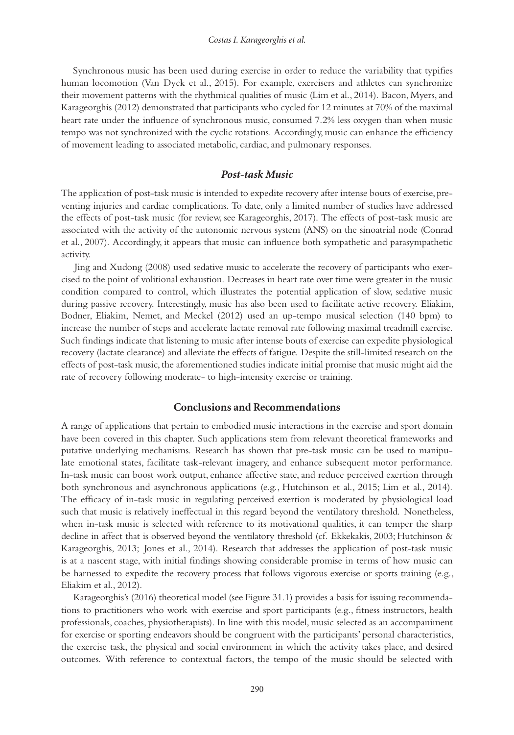Synchronous music has been used during exercise in order to reduce the variability that typifies human locomotion (Van Dyck et al., 2015). For example, exercisers and athletes can synchronize their movement patterns with the rhythmical qualities of music (Lim et al., 2014). Bacon, Myers, and Karageorghis (2012) demonstrated that participants who cycled for 12 minutes at 70% of the maximal heart rate under the influence of synchronous music, consumed 7.2% less oxygen than when music tempo was not synchronized with the cyclic rotations. Accordingly, music can enhance the efficiency of movement leading to associated metabolic, cardiac, and pulmonary responses.

# *Post-task Music*

The application of post-task music is intended to expedite recovery after intense bouts of exercise, preventing injuries and cardiac complications. To date, only a limited number of studies have addressed the effects of post-task music (for review, see Karageorghis, 2017). The effects of post-task music are associated with the activity of the autonomic nervous system (ANS) on the sinoatrial node (Conrad et al., 2007). Accordingly, it appears that music can influence both sympathetic and parasympathetic activity.

Jing and Xudong (2008) used sedative music to accelerate the recovery of participants who exercised to the point of volitional exhaustion. Decreases in heart rate over time were greater in the music condition compared to control, which illustrates the potential application of slow, sedative music during passive recovery. Interestingly, music has also been used to facilitate active recovery. Eliakim, Bodner, Eliakim, Nemet, and Meckel (2012) used an up-tempo musical selection (140 bpm) to increase the number of steps and accelerate lactate removal rate following maximal treadmill exercise. Such findings indicate that listening to music after intense bouts of exercise can expedite physiological recovery (lactate clearance) and alleviate the effects of fatigue. Despite the still-limited research on the effects of post-task music, the aforementioned studies indicate initial promise that music might aid the rate of recovery following moderate- to high-intensity exercise or training.

#### **Conclusions and Recommendations**

A range of applications that pertain to embodied music interactions in the exercise and sport domain have been covered in this chapter. Such applications stem from relevant theoretical frameworks and putative underlying mechanisms. Research has shown that pre-task music can be used to manipulate emotional states, facilitate task-relevant imagery, and enhance subsequent motor performance. In-task music can boost work output, enhance affective state, and reduce perceived exertion through both synchronous and asynchronous applications (e.g., Hutchinson et al., 2015; Lim et al., 2014). The efficacy of in-task music in regulating perceived exertion is moderated by physiological load such that music is relatively ineffectual in this regard beyond the ventilatory threshold. Nonetheless, when in-task music is selected with reference to its motivational qualities, it can temper the sharp decline in affect that is observed beyond the ventilatory threshold (cf. Ekkekakis, 2003; Hutchinson & Karageorghis, 2013; Jones et al., 2014). Research that addresses the application of post-task music is at a nascent stage, with initial findings showing considerable promise in terms of how music can be harnessed to expedite the recovery process that follows vigorous exercise or sports training (e.g., Eliakim et al., 2012).

Karageorghis's (2016) theoretical model (see Figure 31.1) provides a basis for issuing recommendations to practitioners who work with exercise and sport participants (e.g., fitness instructors, health professionals, coaches, physiotherapists). In line with this model, music selected as an accompaniment for exercise or sporting endeavors should be congruent with the participants' personal characteristics, the exercise task, the physical and social environment in which the activity takes place, and desired outcomes. With reference to contextual factors, the tempo of the music should be selected with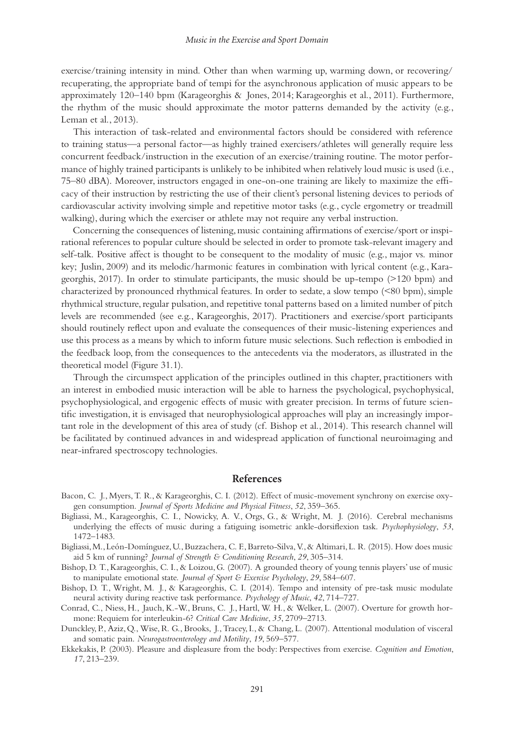exercise/training intensity in mind. Other than when warming up, warming down, or recovering/ recuperating, the appropriate band of tempi for the asynchronous application of music appears to be approximately 120–140 bpm (Karageorghis & Jones, 2014; Karageorghis et al., 2011). Furthermore, the rhythm of the music should approximate the motor patterns demanded by the activity (e.g., Leman et al., 2013).

This interaction of task-related and environmental factors should be considered with reference to training status—a personal factor—as highly trained exercisers/athletes will generally require less concurrent feedback/instruction in the execution of an exercise/training routine. The motor performance of highly trained participants is unlikely to be inhibited when relatively loud music is used (i.e., 75–80 dBA). Moreover, instructors engaged in one-on-one training are likely to maximize the efficacy of their instruction by restricting the use of their client's personal listening devices to periods of cardiovascular activity involving simple and repetitive motor tasks (e.g., cycle ergometry or treadmill walking), during which the exerciser or athlete may not require any verbal instruction.

Concerning the consequences of listening, music containing affirmations of exercise/sport or inspirational references to popular culture should be selected in order to promote task-relevant imagery and self-talk. Positive affect is thought to be consequent to the modality of music (e.g., major vs. minor key; Juslin, 2009) and its melodic/harmonic features in combination with lyrical content (e.g., Karageorghis, 2017). In order to stimulate participants, the music should be up-tempo (>120 bpm) and characterized by pronounced rhythmical features. In order to sedate, a slow tempo (<80 bpm), simple rhythmical structure, regular pulsation, and repetitive tonal patterns based on a limited number of pitch levels are recommended (see e.g., Karageorghis, 2017). Practitioners and exercise/sport participants should routinely reflect upon and evaluate the consequences of their music-listening experiences and use this process as a means by which to inform future music selections. Such reflection is embodied in the feedback loop, from the consequences to the antecedents via the moderators, as illustrated in the theoretical model (Figure 31.1).

Through the circumspect application of the principles outlined in this chapter, practitioners with an interest in embodied music interaction will be able to harness the psychological, psychophysical, psychophysiological, and ergogenic effects of music with greater precision. In terms of future scientific investigation, it is envisaged that neurophysiological approaches will play an increasingly important role in the development of this area of study (cf. Bishop et al., 2014). This research channel will be facilitated by continued advances in and widespread application of functional neuroimaging and near-infrared spectroscopy technologies.

# **References**

- Bacon, C. J., Myers, T. R., & Karageorghis, C. I. (2012). Effect of music-movement synchrony on exercise oxygen consumption. *Journal of Sports Medicine and Physical Fitness*, *52*, 359–365.
- Bigliassi, M., Karageorghis, C. I., Nowicky, A. V., Orgs, G., & Wright, M. J. (2016). Cerebral mechanisms underlying the effects of music during a fatiguing isometric ankle-dorsiflexion task. *Psychophysiology*, *53*, 1472–1483.
- Bigliassi, M., León-Domínguez, U., Buzzachera, C. F., Barreto-Silva, V., & Altimari, L. R. (2015). How does music aid 5 km of running? *Journal of Strength & Conditioning Research*, *29*, 305–314.
- Bishop, D. T., Karageorghis, C. I., & Loizou, G. (2007). A grounded theory of young tennis players' use of music to manipulate emotional state. *Journal of Sport & Exercise Psychology*, *29*, 584–607.
- Bishop, D. T., Wright, M. J., & Karageorghis, C. I. (2014). Tempo and intensity of pre-task music modulate neural activity during reactive task performance. *Psychology of Music*, *42*, 714–727.
- Conrad, C., Niess, H., Jauch, K.-W., Bruns, C. J., Hartl, W. H., & Welker, L. (2007). Overture for growth hormone: Requiem for interleukin-6? *Critical Care Medicine*, *35*, 2709–2713.
- Dunckley, P., Aziz, Q., Wise, R. G., Brooks, J., Tracey, I., & Chang, L. (2007). Attentional modulation of visceral and somatic pain. *Neurogastroenterology and Motility*, *19*, 569–577.
- Ekkekakis, P. (2003). Pleasure and displeasure from the body: Perspectives from exercise. *Cognition and Emotion*, *17*, 213–239.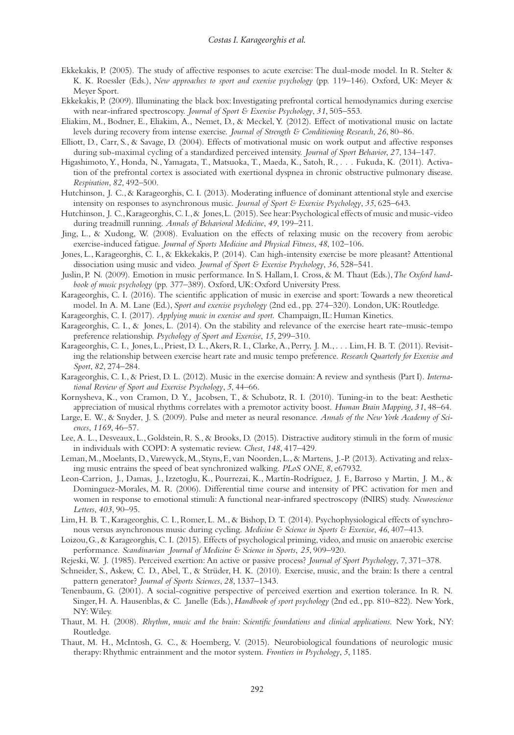- Ekkekakis, P. (2005). The study of affective responses to acute exercise: The dual-mode model. In R. Stelter & K. K. Roessler (Eds.), *New approaches to sport and exercise psychology* (pp. 119–146). Oxford, UK: Meyer & Meyer Sport.
- Ekkekakis, P. (2009). Illuminating the black box: Investigating prefrontal cortical hemodynamics during exercise with near-infrared spectroscopy. *Journal of Sport & Exercise Psychology*, *31*, 505–553.
- Eliakim, M., Bodner, E., Eliakim, A., Nemet, D., & Meckel, Y. (2012). Effect of motivational music on lactate levels during recovery from intense exercise. *Journal of Strength & Conditioning Research*, *26*, 80–86.
- Elliott, D., Carr, S., & Savage, D. (2004). Effects of motivational music on work output and affective responses during sub-maximal cycling of a standardized perceived intensity. *Journal of Sport Behavior*, *27*, 134–147.
- Higashimoto, Y., Honda, N., Yamagata, T., Matsuoka, T., Maeda, K., Satoh, R., . . . Fukuda, K. (2011). Activation of the prefrontal cortex is associated with exertional dyspnea in chronic obstructive pulmonary disease. *Respiration*, *82*, 492–500.
- Hutchinson, J. C., & Karageorghis, C. I. (2013). Moderating influence of dominant attentional style and exercise intensity on responses to asynchronous music. *Journal of Sport & Exercise Psychology*, *35*, 625–643.
- Hutchinson, J. C., Karageorghis, C. I., & Jones, L. (2015). See hear: Psychological effects of music and music-video during treadmill running. *Annals of Behavioral Medicine*, *49*, 199–211.
- Jing, L., & Xudong, W. (2008). Evaluation on the effects of relaxing music on the recovery from aerobic exercise-induced fatigue. *Journal of Sports Medicine and Physical Fitness*, *48*, 102–106.
- Jones, L., Karageorghis, C. I., & Ekkekakis, P. (2014). Can high-intensity exercise be more pleasant? Attentional dissociation using music and video. *Journal of Sport & Exercise Psychology*, *36*, 528–541.
- Juslin, P. N. (2009). Emotion in music performance. In S. Hallam, I. Cross, & M. Thaut (Eds.), *The Oxford handbook of music psychology* (pp. 377–389). Oxford, UK: Oxford University Press.
- Karageorghis, C. I. (2016). The scientific application of music in exercise and sport: Towards a new theoretical model. In A. M. Lane (Ed.), *Sport and exercise psychology* (2nd ed., pp. 274–320). London, UK: Routledge.
- Karageorghis, C. I. (2017). *Applying music in exercise and sport*. Champaign, IL: Human Kinetics.
- Karageorghis, C. I., & Jones, L. (2014). On the stability and relevance of the exercise heart rate–music-tempo preference relationship. *Psychology of Sport and Exercise*, *15*, 299–310.
- Karageorghis, C. I., Jones, L., Priest, D. L., Akers, R. I., Clarke, A., Perry, J. M., . . . Lim, H. B. T. (2011). Revisiting the relationship between exercise heart rate and music tempo preference. *Research Quarterly for Exercise and Sport*, *82*, 274–284.
- Karageorghis, C. I., & Priest, D. L. (2012). Music in the exercise domain: A review and synthesis (Part I). *International Review of Sport and Exercise Psychology*, *5*, 44–66.
- Kornysheva, K., von Cramon, D. Y., Jacobsen, T., & Schubotz, R. I. (2010). Tuning-in to the beat: Aesthetic appreciation of musical rhythms correlates with a premotor activity boost. *Human Brain Mapping*, *31*, 48–64.
- Large, E. W., & Snyder, J. S. (2009). Pulse and meter as neural resonance. *Annals of the New York Academy of Sciences*, *1169*, 46–57.
- Lee, A. L., Desveaux, L., Goldstein, R. S., & Brooks, D. (2015). Distractive auditory stimuli in the form of music in individuals with COPD: A systematic review. *Chest*, *148*, 417–429.
- Leman, M., Moelants, D., Varewyck, M., Styns, F., van Noorden, L., & Martens, J.-P. (2013). Activating and relaxing music entrains the speed of beat synchronized walking. *PLoS ONE*, *8*, e67932.
- Leon-Carrion, J., Damas, J., Izzetoglu, K., Pourrezai, K., Martín-Rodríguez, J. F., Barroso y Martin, J. M., & Dominguez-Morales, M. R. (2006). Differential time course and intensity of PFC activation for men and women in response to emotional stimuli: A functional near-infrared spectroscopy (fNIRS) study. *Neuroscience Letters*, *403*, 90–95.
- Lim, H. B. T., Karageorghis, C. I., Romer, L. M., & Bishop, D. T. (2014). Psychophysiological effects of synchronous versus asynchronous music during cycling. *Medicine & Science in Sports & Exercise*, *46*, 407–413.
- Loizou, G., & Karageorghis, C. I. (2015). Effects of psychological priming, video, and music on anaerobic exercise performance. *Scandinavian Journal of Medicine & Science in Sports*, *25*, 909–920.
- Rejeski, W. J. (1985). Perceived exertion: An active or passive process? *Journal of Sport Psychology*, *7*, 371–378.
- Schneider, S., Askew, C. D., Abel, T., & Strüder, H. K. (2010). Exercise, music, and the brain: Is there a central pattern generator? *Journal of Sports Sciences*, *28*, 1337–1343.
- Tenenbaum, G. (2001). A social-cognitive perspective of perceived exertion and exertion tolerance. In R. N. Singer, H. A. Hausenblas, & C. Janelle (Eds.), *Handbook of sport psychology* (2nd ed., pp. 810–822). New York, NY: Wiley.
- Thaut, M. H. (2008). *Rhythm, music and the brain: Scientific foundations and clinical applications*. New York, NY: Routledge.
- Thaut, M. H., McIntosh, G. C., & Hoemberg, V. (2015). Neurobiological foundations of neurologic music therapy: Rhythmic entrainment and the motor system. *Frontiers in Psychology*, *5*, 1185.